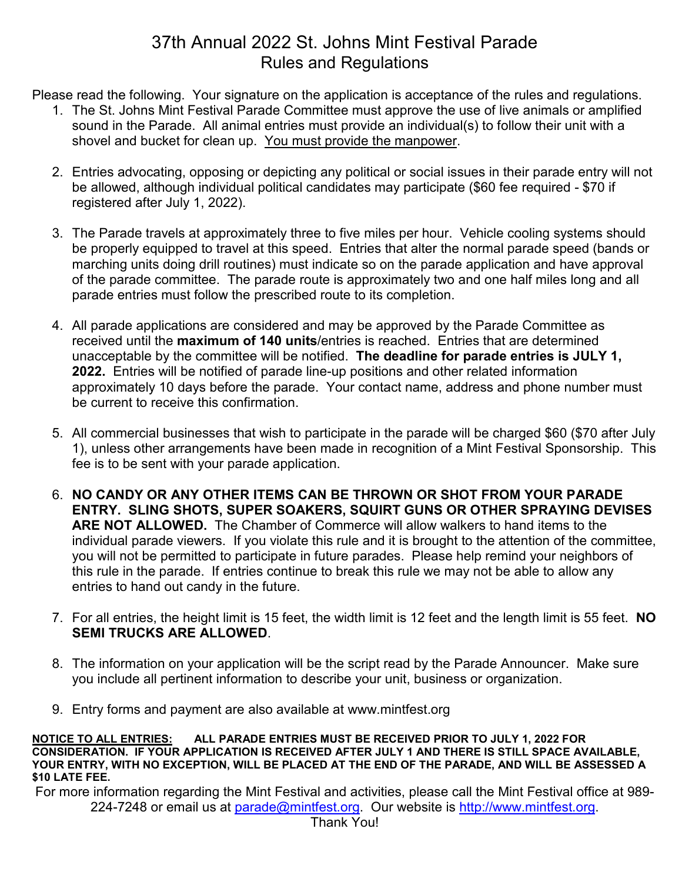## 37th Annual 2022 St. Johns Mint Festival Parade Rules and Regulations

Please read the following. Your signature on the application is acceptance of the rules and regulations.

- 1. The St. Johns Mint Festival Parade Committee must approve the use of live animals or amplified sound in the Parade. All animal entries must provide an individual(s) to follow their unit with a shovel and bucket for clean up. You must provide the manpower.
- 2. Entries advocating, opposing or depicting any political or social issues in their parade entry will not be allowed, although individual political candidates may participate (\$60 fee required - \$70 if registered after July 1, 2022).
- 3. The Parade travels at approximately three to five miles per hour. Vehicle cooling systems should be properly equipped to travel at this speed. Entries that alter the normal parade speed (bands or marching units doing drill routines) must indicate so on the parade application and have approval of the parade committee. The parade route is approximately two and one half miles long and all parade entries must follow the prescribed route to its completion.
- 4. All parade applications are considered and may be approved by the Parade Committee as received until the **maximum of 140 units**/entries is reached. Entries that are determined unacceptable by the committee will be notified. **The deadline for parade entries is JULY 1, 2022.** Entries will be notified of parade line-up positions and other related information approximately 10 days before the parade. Your contact name, address and phone number must be current to receive this confirmation.
- 5. All commercial businesses that wish to participate in the parade will be charged \$60 (\$70 after July 1), unless other arrangements have been made in recognition of a Mint Festival Sponsorship. This fee is to be sent with your parade application.
- 6. **NO CANDY OR ANY OTHER ITEMS CAN BE THROWN OR SHOT FROM YOUR PARADE ENTRY. SLING SHOTS, SUPER SOAKERS, SQUIRT GUNS OR OTHER SPRAYING DEVISES ARE NOT ALLOWED.** The Chamber of Commerce will allow walkers to hand items to the individual parade viewers. If you violate this rule and it is brought to the attention of the committee, you will not be permitted to participate in future parades. Please help remind your neighbors of this rule in the parade. If entries continue to break this rule we may not be able to allow any entries to hand out candy in the future.
- 7. For all entries, the height limit is 15 feet, the width limit is 12 feet and the length limit is 55 feet. **NO SEMI TRUCKS ARE ALLOWED**.
- 8. The information on your application will be the script read by the Parade Announcer. Make sure you include all pertinent information to describe your unit, business or organization.
- 9. Entry forms and payment are also available at www.mintfest.org

For more information regarding the Mint Festival and activities, please call the Mint Festival office at 989- 224-7248 or email us at [parade@mintfest.org.](mailto:parade@mintfest.org) Our website is [http://www.mintfest.org.](http://www.mintfest.org/)

**NOTICE TO ALL ENTRIES: ALL PARADE ENTRIES MUST BE RECEIVED PRIOR TO JULY 1, 2022 FOR CONSIDERATION. IF YOUR APPLICATION IS RECEIVED AFTER JULY 1 AND THERE IS STILL SPACE AVAILABLE, YOUR ENTRY, WITH NO EXCEPTION, WILL BE PLACED AT THE END OF THE PARADE, AND WILL BE ASSESSED A \$10 LATE FEE.**